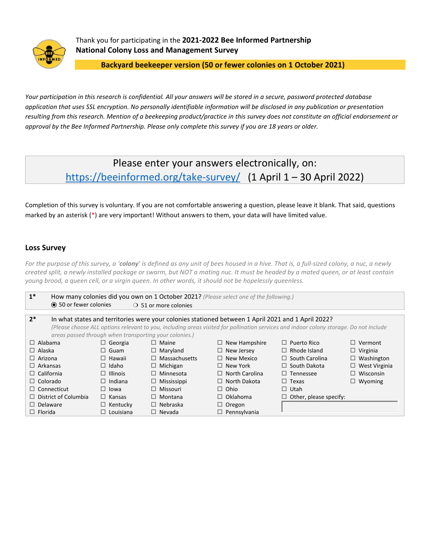

Thank you for participating in the **2021-2022 Bee Informed Partnership National Colony Loss and Management Survey**

**Backyard beekeeper version (50 or fewer colonies on 1 October 2021)**

*Your participation in this research is confidential. All your answers will be stored in a secure, password protected database application that uses SSL encryption. No personally identifiable information will be disclosed in any publication or presentation resulting from this research. Mention of a beekeeping product/practice in this survey does not constitute an official endorsement or approval by the Bee Informed Partnership. Please only complete this survey if you are 18 years or older.*

# Please enter your answers electronically, on: <https://beeinformed.org/take-survey/>(1 April 1 – 30 April 2022)

Completion of this survey is voluntary. If you are not comfortable answering a question, please leave it blank. That said, questions marked by an asterisk (\*) are very important! Without answers to them, your data will have limited value.

## **Loss Survey**

*For the purpose of this survey, a 'colony' is defined as any unit of bees housed in a hive. That is, a full-sized colony, a nuc, a newly created split, a newly installed package or swarm, but NOT a mating nuc. It must be headed by a mated queen, or at least contain young brood, a queen cell, or a virgin queen. In other words, it should not be hopelessly queenless.*

| $1^*$                                                                                                                                  | How many colonies did you own on 1 October 2021? (Please select one of the following.) |                                |                       |                               |                      |  |  |  |  |  |  |  |  |  |
|----------------------------------------------------------------------------------------------------------------------------------------|----------------------------------------------------------------------------------------|--------------------------------|-----------------------|-------------------------------|----------------------|--|--|--|--|--|--|--|--|--|
| <b>● 50 or fewer colonies</b>                                                                                                          |                                                                                        | $\bigcirc$ 51 or more colonies |                       |                               |                      |  |  |  |  |  |  |  |  |  |
|                                                                                                                                        |                                                                                        |                                |                       |                               |                      |  |  |  |  |  |  |  |  |  |
| $2*$<br>In what states and territories were your colonies stationed between 1 April 2021 and 1 April 2022?                             |                                                                                        |                                |                       |                               |                      |  |  |  |  |  |  |  |  |  |
| (Please choose ALL options relevant to you, including areas visited for pollination services and indoor colony storage. Do not include |                                                                                        |                                |                       |                               |                      |  |  |  |  |  |  |  |  |  |
| areas passed through when transporting your colonies.)                                                                                 |                                                                                        |                                |                       |                               |                      |  |  |  |  |  |  |  |  |  |
| $\Box$ Alabama                                                                                                                         | $\Box$ Georgia                                                                         | $\Box$ Maine                   | $\Box$ New Hampshire  | $\Box$ Puerto Rico            | $\Box$ Vermont       |  |  |  |  |  |  |  |  |  |
| $\Box$ Alaska                                                                                                                          | $\Box$ Guam                                                                            | $\Box$ Maryland                | $\Box$ New Jersey     | $\Box$ Rhode Island           | $\Box$ Virginia      |  |  |  |  |  |  |  |  |  |
| $\Box$ Arizona                                                                                                                         | $\Box$ Hawaii                                                                          | $\Box$ Massachusetts           | $\Box$ New Mexico     | $\Box$ South Carolina         | $\Box$ Washington    |  |  |  |  |  |  |  |  |  |
| $\Box$ Arkansas                                                                                                                        | $\Box$ Idaho                                                                           | $\Box$ Michigan                | $\Box$ New York       | $\Box$ South Dakota           | $\Box$ West Virginia |  |  |  |  |  |  |  |  |  |
| $\Box$ California                                                                                                                      | $\Box$ Illinois                                                                        | $\Box$ Minnesota               | $\Box$ North Carolina | $\Box$ Tennessee              | $\Box$ Wisconsin     |  |  |  |  |  |  |  |  |  |
| $\Box$ Colorado                                                                                                                        | $\Box$ Indiana                                                                         | Mississippi<br>□               | $\Box$ North Dakota   | $\Box$ Texas                  | $\Box$ Wyoming       |  |  |  |  |  |  |  |  |  |
| $\Box$ Connecticut                                                                                                                     | $\Box$ lowa                                                                            | $\Box$ Missouri                | $\Box$ Ohio           | $\Box$ Utah                   |                      |  |  |  |  |  |  |  |  |  |
| $\Box$ District of Columbia                                                                                                            | $\Box$ Kansas                                                                          | $\Box$ Montana                 | $\Box$ Oklahoma       | $\Box$ Other, please specify: |                      |  |  |  |  |  |  |  |  |  |
| $\Box$ Delaware                                                                                                                        | $\Box$ Kentucky                                                                        | $\Box$ Nebraska                | $\Box$ Oregon         |                               |                      |  |  |  |  |  |  |  |  |  |
| $\Box$ Florida                                                                                                                         | $\Box$ Louisiana                                                                       | $\Box$ Nevada                  | $\Box$ Pennsylvania   |                               |                      |  |  |  |  |  |  |  |  |  |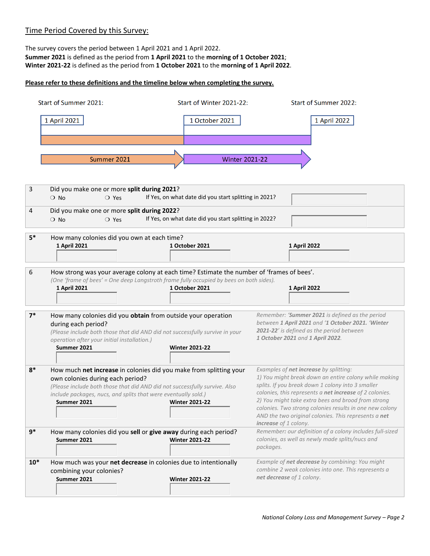## Time Period Covered by this Survey:

The survey covers the period between 1 April 2021 and 1 April 2022. **Summer 2021** is defined as the period from **1 April 2021** to the **morning of 1 October 2021**; **Winter 2021-22** is defined as the period from **1 October 2021** to the **morning of 1 April 2022**.

## **Please refer to these definitions and the timeline below when completing the survey.**

|       | Start of Summer 2021:                                                                                                                                                                                                                                                 | Start of Winter 2021-22:                              |                                                                               | <b>Start of Summer 2022:</b>                                                                                                                                                                                                                                                                                                                   |
|-------|-----------------------------------------------------------------------------------------------------------------------------------------------------------------------------------------------------------------------------------------------------------------------|-------------------------------------------------------|-------------------------------------------------------------------------------|------------------------------------------------------------------------------------------------------------------------------------------------------------------------------------------------------------------------------------------------------------------------------------------------------------------------------------------------|
|       | 1 April 2021                                                                                                                                                                                                                                                          | 1 October 2021                                        |                                                                               | 1 April 2022                                                                                                                                                                                                                                                                                                                                   |
|       |                                                                                                                                                                                                                                                                       |                                                       |                                                                               |                                                                                                                                                                                                                                                                                                                                                |
|       | Summer 2021                                                                                                                                                                                                                                                           | <b>Winter 2021-22</b>                                 |                                                                               |                                                                                                                                                                                                                                                                                                                                                |
|       |                                                                                                                                                                                                                                                                       |                                                       |                                                                               |                                                                                                                                                                                                                                                                                                                                                |
| 3     | Did you make one or more split during 2021?<br>$\bigcirc$ No<br>$\bigcirc$ Yes                                                                                                                                                                                        | If Yes, on what date did you start splitting in 2021? |                                                                               |                                                                                                                                                                                                                                                                                                                                                |
| 4     | Did you make one or more split during 2022?<br>$\bigcirc$ No<br>$\bigcirc$ Yes                                                                                                                                                                                        | If Yes, on what date did you start splitting in 2022? |                                                                               |                                                                                                                                                                                                                                                                                                                                                |
| $5*$  | How many colonies did you own at each time?<br>1 April 2021                                                                                                                                                                                                           | 1 October 2021                                        | 1 April 2022                                                                  |                                                                                                                                                                                                                                                                                                                                                |
| 6     | How strong was your average colony at each time? Estimate the number of 'frames of bees'.<br>(One 'frame of bees' = One deep Langstroth frame fully occupied by bees on both sides).<br>1 April 2021                                                                  | 1 October 2021                                        | 1 April 2022                                                                  |                                                                                                                                                                                                                                                                                                                                                |
| $7*$  | How many colonies did you obtain from outside your operation<br>during each period?<br>(Please include both those that did AND did not successfully survive in your<br>operation after your initial installation.)<br>Summer 2021                                     | <b>Winter 2021-22</b>                                 | 2021-22' is defined as the period between<br>1 October 2021 and 1 April 2022. | Remember: 'Summer 2021 is defined as the period<br>between 1 April 2021 and '1 October 2021. 'Winter                                                                                                                                                                                                                                           |
| $8*$  | How much net increase in colonies did you make from splitting your<br>own colonies during each period?<br>(Please include both those that did AND did not successfully survive. Also<br>include packages, nucs, and splits that were eventually sold.)<br>Summer 2021 | <b>Winter 2021-22</b>                                 | Examples of net increase by splitting:<br>increase of 1 colony.               | 1) You might break down an entire colony while making<br>splits. If you break down 1 colony into 3 smaller<br>colonies, this represents a net increase of 2 colonies.<br>2) You might take extra bees and brood from strong<br>colonies. Two strong colonies results in one new colony<br>AND the two original colonies. This represents a net |
| $9*$  | How many colonies did you sell or give away during each period?<br>Summer 2021                                                                                                                                                                                        | <b>Winter 2021-22</b>                                 | packages.                                                                     | Remember: our definition of a colony includes full-sized<br>colonies, as well as newly made splits/nucs and                                                                                                                                                                                                                                    |
| $10*$ | How much was your net decrease in colonies due to intentionally<br>combining your colonies?<br>Summer 2021                                                                                                                                                            | <b>Winter 2021-22</b>                                 | net decrease of 1 colony.                                                     | Example of net decrease by combining: You might<br>combine 2 weak colonies into one. This represents a                                                                                                                                                                                                                                         |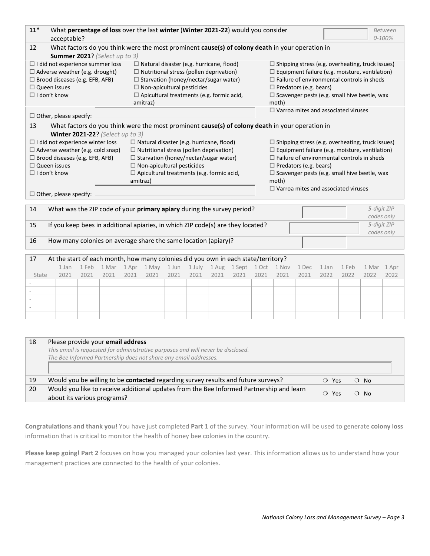| $11*$                                                                                 | acceptable?                                                                                     |             |      |             |                                                  |       | What percentage of loss over the last winter (Winter 2021-22) would you consider<br>Between<br>$0 - 100%$ |      |                                 |                                                   |                                                         |                                                       |                                            |       |                                                         |       |  |  |  |  |
|---------------------------------------------------------------------------------------|-------------------------------------------------------------------------------------------------|-------------|------|-------------|--------------------------------------------------|-------|-----------------------------------------------------------------------------------------------------------|------|---------------------------------|---------------------------------------------------|---------------------------------------------------------|-------------------------------------------------------|--------------------------------------------|-------|---------------------------------------------------------|-------|--|--|--|--|
| 12                                                                                    | What factors do you think were the most prominent cause(s) of colony death in your operation in |             |      |             |                                                  |       |                                                                                                           |      |                                 |                                                   |                                                         |                                                       |                                            |       |                                                         |       |  |  |  |  |
|                                                                                       | Summer 2021? (Select up to 3)                                                                   |             |      |             |                                                  |       |                                                                                                           |      |                                 |                                                   |                                                         |                                                       |                                            |       |                                                         |       |  |  |  |  |
|                                                                                       | $\Box$ I did not experience summer loss                                                         |             |      |             | $\Box$ Natural disaster (e.g. hurricane, flood)  |       |                                                                                                           |      |                                 |                                                   |                                                         |                                                       |                                            |       | $\Box$ Shipping stress (e.g. overheating, truck issues) |       |  |  |  |  |
|                                                                                       | $\Box$ Adverse weather (e.g. drought)<br>$\Box$ Nutritional stress (pollen deprivation)         |             |      |             |                                                  |       |                                                                                                           |      |                                 |                                                   |                                                         | $\Box$ Equipment failure (e.g. moisture, ventilation) |                                            |       |                                                         |       |  |  |  |  |
| $\Box$ Brood diseases (e.g. EFB, AFB)<br>$\Box$ Starvation (honey/nectar/sugar water) |                                                                                                 |             |      |             |                                                  |       |                                                                                                           |      |                                 |                                                   |                                                         |                                                       |                                            |       | $\Box$ Failure of environmental controls in sheds       |       |  |  |  |  |
| $\Box$ Queen issues                                                                   |                                                                                                 |             |      |             | $\Box$ Non-apicultural pesticides                |       |                                                                                                           |      |                                 |                                                   |                                                         | $\Box$ Predators (e.g. bears)                         |                                            |       |                                                         |       |  |  |  |  |
| $\Box$ I don't know                                                                   |                                                                                                 |             |      |             | $\Box$ Apicultural treatments (e.g. formic acid, |       |                                                                                                           |      |                                 |                                                   |                                                         |                                                       |                                            |       | $\Box$ Scavenger pests (e.g. small hive beetle, wax     |       |  |  |  |  |
|                                                                                       |                                                                                                 |             |      |             | amitraz)                                         |       |                                                                                                           |      |                                 |                                                   | moth)                                                   |                                                       |                                            |       |                                                         |       |  |  |  |  |
|                                                                                       | $\Box$ Other, please specify:                                                                   |             |      |             |                                                  |       |                                                                                                           |      |                                 |                                                   |                                                         |                                                       | $\Box$ Varroa mites and associated viruses |       |                                                         |       |  |  |  |  |
| 13                                                                                    | What factors do you think were the most prominent cause(s) of colony death in your operation in |             |      |             |                                                  |       |                                                                                                           |      |                                 |                                                   |                                                         |                                                       |                                            |       |                                                         |       |  |  |  |  |
|                                                                                       | Winter 2021-22? (Select up to 3)                                                                |             |      |             |                                                  |       |                                                                                                           |      |                                 |                                                   |                                                         |                                                       |                                            |       |                                                         |       |  |  |  |  |
|                                                                                       | $\Box$ I did not experience winter loss                                                         |             |      |             | $\Box$ Natural disaster (e.g. hurricane, flood)  |       |                                                                                                           |      |                                 |                                                   | $\Box$ Shipping stress (e.g. overheating, truck issues) |                                                       |                                            |       |                                                         |       |  |  |  |  |
|                                                                                       | $\Box$ Adverse weather (e.g. cold snap)                                                         |             |      |             | $\Box$ Nutritional stress (pollen deprivation)   |       |                                                                                                           |      |                                 |                                                   | $\Box$ Equipment failure (e.g. moisture, ventilation)   |                                                       |                                            |       |                                                         |       |  |  |  |  |
|                                                                                       | $\Box$ Brood diseases (e.g. EFB, AFB)                                                           |             |      |             | $\Box$ Starvation (honey/nectar/sugar water)     |       |                                                                                                           |      |                                 | $\Box$ Failure of environmental controls in sheds |                                                         |                                                       |                                            |       |                                                         |       |  |  |  |  |
| $\Box$ Queen issues                                                                   |                                                                                                 |             |      |             | $\Box$ Non-apicultural pesticides                |       |                                                                                                           |      |                                 |                                                   | $\Box$ Predators (e.g. bears)                           |                                                       |                                            |       |                                                         |       |  |  |  |  |
| $\Box$ I don't know                                                                   |                                                                                                 |             |      |             | $\Box$ Apicultural treatments (e.g. formic acid, |       |                                                                                                           |      |                                 |                                                   |                                                         |                                                       |                                            |       | $\Box$ Scavenger pests (e.g. small hive beetle, wax     |       |  |  |  |  |
|                                                                                       |                                                                                                 |             |      | amitraz)    |                                                  |       |                                                                                                           |      |                                 |                                                   | moth)                                                   |                                                       |                                            |       |                                                         |       |  |  |  |  |
|                                                                                       |                                                                                                 |             |      |             |                                                  |       |                                                                                                           |      |                                 |                                                   |                                                         | $\Box$ Varroa mites and associated viruses            |                                            |       |                                                         |       |  |  |  |  |
|                                                                                       | $\Box$ Other, please specify:                                                                   |             |      |             |                                                  |       |                                                                                                           |      |                                 |                                                   |                                                         |                                                       |                                            |       |                                                         |       |  |  |  |  |
| 14                                                                                    | What was the ZIP code of your primary apiary during the survey period?                          |             |      |             |                                                  |       |                                                                                                           |      |                                 |                                                   |                                                         |                                                       |                                            |       | 5-digit ZIP                                             |       |  |  |  |  |
|                                                                                       |                                                                                                 |             |      |             |                                                  |       |                                                                                                           |      |                                 |                                                   |                                                         |                                                       |                                            |       | codes only                                              |       |  |  |  |  |
| 15                                                                                    | If you keep bees in additional apiaries, in which ZIP code(s) are they located?                 |             |      |             |                                                  |       |                                                                                                           |      |                                 |                                                   |                                                         |                                                       |                                            |       | 5-digit ZIP                                             |       |  |  |  |  |
|                                                                                       |                                                                                                 |             |      |             |                                                  |       |                                                                                                           |      |                                 |                                                   |                                                         |                                                       |                                            |       | codes only                                              |       |  |  |  |  |
| 16                                                                                    | How many colonies on average share the same location (apiary)?                                  |             |      |             |                                                  |       |                                                                                                           |      |                                 |                                                   |                                                         |                                                       |                                            |       |                                                         |       |  |  |  |  |
|                                                                                       |                                                                                                 |             |      |             |                                                  |       |                                                                                                           |      |                                 |                                                   |                                                         |                                                       |                                            |       |                                                         |       |  |  |  |  |
| 17                                                                                    | At the start of each month, how many colonies did you own in each state/territory?              |             |      |             |                                                  |       |                                                                                                           |      |                                 |                                                   |                                                         |                                                       |                                            |       |                                                         |       |  |  |  |  |
|                                                                                       | 1 Jan                                                                                           | 1 Feb 1 Mar |      | 1 Apr 1 May |                                                  | 1 Jun |                                                                                                           |      | 1 July 1 Aug 1 Sept 1 Oct 1 Nov |                                                   |                                                         | 1 Dec                                                 | 1 Jan                                      | 1 Feb | 1 Mar                                                   | 1 Apr |  |  |  |  |
| State                                                                                 | 2021                                                                                            | 2021        | 2021 | 2021        | 2021                                             | 2021  | 2021                                                                                                      | 2021 | 2021                            | 2021                                              | 2021                                                    | 2021                                                  | 2022                                       | 2022  | 2022                                                    | 2022  |  |  |  |  |
|                                                                                       |                                                                                                 |             |      |             |                                                  |       |                                                                                                           |      |                                 |                                                   |                                                         |                                                       |                                            |       |                                                         |       |  |  |  |  |
|                                                                                       |                                                                                                 |             |      |             |                                                  |       |                                                                                                           |      |                                 |                                                   |                                                         |                                                       |                                            |       |                                                         |       |  |  |  |  |

| 18 | Please provide your email address                                                                                       |                 |                  |  |
|----|-------------------------------------------------------------------------------------------------------------------------|-----------------|------------------|--|
|    | This email is requested for administrative purposes and will never be disclosed.                                        |                 |                  |  |
|    | The Bee Informed Partnership does not share any email addresses.                                                        |                 |                  |  |
|    |                                                                                                                         |                 |                  |  |
| 19 | Would you be willing to be contacted regarding survey results and future surveys?                                       | Yes<br>$\Omega$ | No.<br>$\Omega$  |  |
| 20 | Would you like to receive additional updates from the Bee Informed Partnership and learn<br>about its various programs? | Yes             | No.<br>$\lambda$ |  |

- - -

**Congratulations and thank you!** You have just completed **Part 1** of the survey. Your information will be used to generate **colony loss** information that is critical to monitor the health of honey bee colonies in the country.

**Please keep going! Part 2** focuses on how you managed your colonies last year. This information allows us to understand how your management practices are connected to the health of your colonies.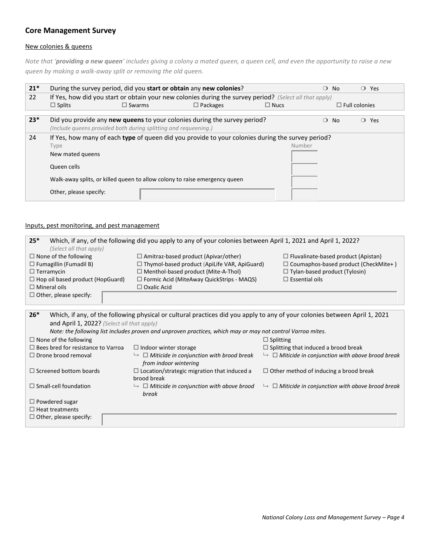## **Core Management Survey**

#### New colonies & queens

*Note that 'providing a new queen' includes giving a colony a mated queen, a queen cell, and even the opportunity to raise a new queen by making a walk-away split or removing the old queen.* 

| $21*$ |                                                                                          |                                                                                                         | During the survey period, did you start or obtain any new colonies?                                                                                                             |        | $\Omega$<br>No. | $\bigcirc$ Yes |  |  |  |  |  |  |  |  |  |
|-------|------------------------------------------------------------------------------------------|---------------------------------------------------------------------------------------------------------|---------------------------------------------------------------------------------------------------------------------------------------------------------------------------------|--------|-----------------|----------------|--|--|--|--|--|--|--|--|--|
| 22    |                                                                                          | If Yes, how did you start or obtain your new colonies during the survey period? (Select all that apply) |                                                                                                                                                                                 |        |                 |                |  |  |  |  |  |  |  |  |  |
|       | $\Box$ Splits<br>$\Box$ Swarms<br>$\Box$ Packages<br>$\Box$ Nucs<br>$\Box$ Full colonies |                                                                                                         |                                                                                                                                                                                 |        |                 |                |  |  |  |  |  |  |  |  |  |
| $23*$ |                                                                                          | (Include queens provided both during splitting and requeening.)                                         | Did you provide any <b>new queens</b> to your colonies during the survey period?                                                                                                |        | $\Omega$<br>No. | $\bigcirc$ Yes |  |  |  |  |  |  |  |  |  |
| 24    | Type<br>New mated queens<br>Queen cells<br>Other, please specify:                        |                                                                                                         | If Yes, how many of each type of queen did you provide to your colonies during the survey period?<br>Walk-away splits, or killed queen to allow colony to raise emergency queen | Number |                 |                |  |  |  |  |  |  |  |  |  |

### Inputs, pest monitoring, and pest management

| $25*$<br>Which, if any, of the following did you apply to any of your colonies between April 1, 2021 and April 1, 2022? |                                                  |                                             |  |  |  |  |  |  |  |  |  |  |
|-------------------------------------------------------------------------------------------------------------------------|--------------------------------------------------|---------------------------------------------|--|--|--|--|--|--|--|--|--|--|
| (Select all that apply)                                                                                                 |                                                  |                                             |  |  |  |  |  |  |  |  |  |  |
| $\Box$ None of the following                                                                                            | $\Box$ Amitraz-based product (Apivar/other)      | $\Box$ Fluvalinate-based product (Apistan)  |  |  |  |  |  |  |  |  |  |  |
| $\Box$ Fumagillin (Fumadil B)                                                                                           | □ Thymol-based product (ApiLife VAR, ApiGuard)   | $\Box$ Coumaphos-based product (CheckMite+) |  |  |  |  |  |  |  |  |  |  |
| $\Box$ Terramycin                                                                                                       | $\Box$ Menthol-based product (Mite-A-Thol)       | $\Box$ Tylan-based product (Tylosin)        |  |  |  |  |  |  |  |  |  |  |
| $\Box$ Hop oil based product (HopGuard)                                                                                 | $\Box$ Formic Acid (MiteAway QuickStrips - MAQS) | $\Box$ Essential oils                       |  |  |  |  |  |  |  |  |  |  |
| $\Box$ Mineral oils                                                                                                     | $\Box$ Oxalic Acid                               |                                             |  |  |  |  |  |  |  |  |  |  |
| $\Box$ Other, please specify:                                                                                           |                                                  |                                             |  |  |  |  |  |  |  |  |  |  |
|                                                                                                                         |                                                  |                                             |  |  |  |  |  |  |  |  |  |  |

| $26*$                                                                                                       | Which, if any, of the following physical or cultural practices did you apply to any of your colonies between April 1, 2021 |                                                                     |  |  |  |  |  |  |  |  |  |  |  |
|-------------------------------------------------------------------------------------------------------------|----------------------------------------------------------------------------------------------------------------------------|---------------------------------------------------------------------|--|--|--|--|--|--|--|--|--|--|--|
| and April 1, 2022? (Select all that apply)                                                                  |                                                                                                                            |                                                                     |  |  |  |  |  |  |  |  |  |  |  |
| Note: the following list includes proven and unproven practices, which may or may not control Varroa mites. |                                                                                                                            |                                                                     |  |  |  |  |  |  |  |  |  |  |  |
| $\Box$ None of the following                                                                                |                                                                                                                            | $\Box$ Splitting                                                    |  |  |  |  |  |  |  |  |  |  |  |
| $\Box$ Bees bred for resistance to Varroa                                                                   | $\Box$ Indoor winter storage                                                                                               | $\Box$ Splitting that induced a brood break                         |  |  |  |  |  |  |  |  |  |  |  |
| $\Box$ Drone brood removal                                                                                  | $\rightarrow$ $\Box$ Miticide in conjunction with brood break<br>from indoor wintering                                     | $\rightarrow$ $\Box$ Miticide in conjunction with above brood break |  |  |  |  |  |  |  |  |  |  |  |
| $\Box$ Screened bottom boards                                                                               | $\Box$ Location/strategic migration that induced a<br>brood break                                                          | $\Box$ Other method of inducing a brood break                       |  |  |  |  |  |  |  |  |  |  |  |
| $\Box$ Small-cell foundation                                                                                | $\rightarrow$ $\Box$ Miticide in conjunction with above brood<br>break                                                     | $\rightarrow$ $\Box$ Miticide in conjunction with above brood break |  |  |  |  |  |  |  |  |  |  |  |
| $\Box$ Powdered sugar                                                                                       |                                                                                                                            |                                                                     |  |  |  |  |  |  |  |  |  |  |  |
| $\Box$ Heat treatments                                                                                      |                                                                                                                            |                                                                     |  |  |  |  |  |  |  |  |  |  |  |
| $\Box$ Other, please specify:                                                                               |                                                                                                                            |                                                                     |  |  |  |  |  |  |  |  |  |  |  |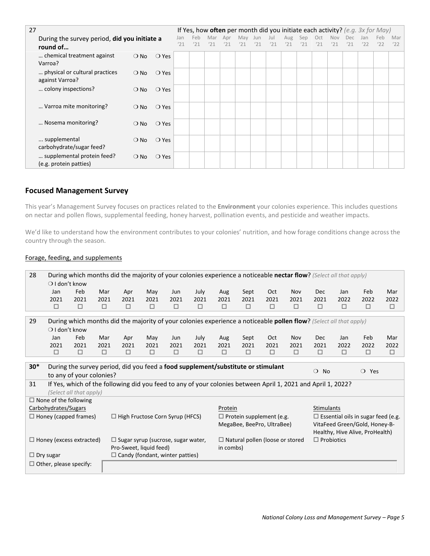| 27 |                                                          |               | If Yes, how often per month did you initiate each activity? (e.g. $3x$ for May) |  |            |            |            |            |            |            |            |            |            |            |            |            |            |            |
|----|----------------------------------------------------------|---------------|---------------------------------------------------------------------------------|--|------------|------------|------------|------------|------------|------------|------------|------------|------------|------------|------------|------------|------------|------------|
|    | During the survey period, did you initiate a<br>round of |               |                                                                                 |  | Feb<br>'21 | Mar<br>'21 | Apr<br>'21 | May<br>'21 | Jun<br>'21 | Jul<br>'21 | Aug<br>'21 | Sep<br>'21 | Oct<br>'21 | Nov<br>'21 | Dec<br>'21 | Jan<br>'22 | Feb<br>'22 | Mar<br>'22 |
|    | chemical treatment against<br>Varroa?                    | $\bigcirc$ No | $\bigcirc$ Yes                                                                  |  |            |            |            |            |            |            |            |            |            |            |            |            |            |            |
|    | physical or cultural practices<br>against Varroa?        | $\bigcirc$ No | $\bigcirc$ Yes                                                                  |  |            |            |            |            |            |            |            |            |            |            |            |            |            |            |
|    | colony inspections?                                      | $\bigcirc$ No | $\bigcirc$ Yes                                                                  |  |            |            |            |            |            |            |            |            |            |            |            |            |            |            |
|    | Varroa mite monitoring?                                  | $\bigcirc$ No | $\bigcirc$ Yes                                                                  |  |            |            |            |            |            |            |            |            |            |            |            |            |            |            |
|    | Nosema monitoring?                                       | $\bigcirc$ No | $\bigcirc$ Yes                                                                  |  |            |            |            |            |            |            |            |            |            |            |            |            |            |            |
|    | supplemental<br>carbohydrate/sugar feed?                 | $\bigcirc$ No | $\bigcirc$ Yes                                                                  |  |            |            |            |            |            |            |            |            |            |            |            |            |            |            |
|    | supplemental protein feed?<br>(e.g. protein patties)     | $\bigcirc$ No | $\bigcirc$ Yes                                                                  |  |            |            |            |            |            |            |            |            |            |            |            |            |            |            |

## **Focused Management Survey**

This year's Management Survey focuses on practices related to the **Environment** your colonies experience. This includes questions on nectar and pollen flows, supplemental feeding, honey harvest, pollination events, and pesticide and weather impacts.

We'd like to understand how the environment contributes to your colonies' nutrition, and how forage conditions change across the country through the season.

#### Forage, feeding, and supplements

| 28<br>During which months did the majority of your colonies experience a noticeable nectar flow? (Select all that apply)<br>$\bigcirc$ I don't know |                                                                                                                                                                 |                                                                                                              |        |                                           |      |        |        |           |        |                                        |            |                   |        |                                           |        |
|-----------------------------------------------------------------------------------------------------------------------------------------------------|-----------------------------------------------------------------------------------------------------------------------------------------------------------------|--------------------------------------------------------------------------------------------------------------|--------|-------------------------------------------|------|--------|--------|-----------|--------|----------------------------------------|------------|-------------------|--------|-------------------------------------------|--------|
|                                                                                                                                                     | Jan                                                                                                                                                             | Feb                                                                                                          | Mar    | Apr                                       | May  | Jun    | July   | Aug       | Sept   | Oct                                    | Nov        | Dec               | Jan    | Feb                                       | Mar    |
|                                                                                                                                                     | 2021                                                                                                                                                            | 2021                                                                                                         | 2021   | 2021                                      | 2021 | 2021   | 2021   | 2021      | 2021   | 2021                                   | 2021       | 2021              | 2022   | 2022                                      | 2022   |
|                                                                                                                                                     | $\Box$                                                                                                                                                          | $\Box$                                                                                                       | $\Box$ | $\Box$                                    | □    | $\Box$ | $\Box$ | □         | $\Box$ | $\Box$                                 | $\Box$     | □                 | $\Box$ | $\Box$                                    | $\Box$ |
|                                                                                                                                                     |                                                                                                                                                                 |                                                                                                              |        |                                           |      |        |        |           |        |                                        |            |                   |        |                                           |        |
|                                                                                                                                                     | 29<br>During which months did the majority of your colonies experience a noticeable pollen flow? (Select all that apply)                                        |                                                                                                              |        |                                           |      |        |        |           |        |                                        |            |                   |        |                                           |        |
|                                                                                                                                                     | $\bigcirc$ I don't know                                                                                                                                         |                                                                                                              |        |                                           |      |        |        |           |        |                                        |            |                   |        |                                           |        |
|                                                                                                                                                     | Jan                                                                                                                                                             | Feb                                                                                                          | Mar    | Apr                                       | May  | Jun    | July   | Aug       | Sept   | <b>Oct</b>                             | <b>Nov</b> | <b>Dec</b>        | Jan    | Feb                                       | Mar    |
|                                                                                                                                                     | 2021                                                                                                                                                            | 2021                                                                                                         | 2021   | 2021                                      | 2021 | 2021   | 2021   | 2021      | 2021   | 2021                                   | 2021       | 2021              | 2022   | 2022                                      | 2022   |
|                                                                                                                                                     | □                                                                                                                                                               | $\Box$                                                                                                       | $\Box$ | □                                         | □    | □      | □      | □         | $\Box$ | □                                      | $\Box$     | □                 | $\Box$ | $\Box$                                    | □      |
|                                                                                                                                                     |                                                                                                                                                                 |                                                                                                              |        |                                           |      |        |        |           |        |                                        |            |                   |        |                                           |        |
|                                                                                                                                                     | $30*$<br>During the survey period, did you feed a food supplement/substitute or stimulant<br>$\bigcirc$ Yes<br>$\circ$<br><b>No</b><br>to any of your colonies? |                                                                                                              |        |                                           |      |        |        |           |        |                                        |            |                   |        |                                           |        |
|                                                                                                                                                     |                                                                                                                                                                 |                                                                                                              |        |                                           |      |        |        |           |        |                                        |            |                   |        |                                           |        |
| 31                                                                                                                                                  |                                                                                                                                                                 | If Yes, which of the following did you feed to any of your colonies between April 1, 2021 and April 1, 2022? |        |                                           |      |        |        |           |        |                                        |            |                   |        |                                           |        |
|                                                                                                                                                     |                                                                                                                                                                 | (Select all that apply)                                                                                      |        |                                           |      |        |        |           |        |                                        |            |                   |        |                                           |        |
|                                                                                                                                                     |                                                                                                                                                                 | $\Box$ None of the following                                                                                 |        |                                           |      |        |        |           |        |                                        |            |                   |        |                                           |        |
|                                                                                                                                                     | Carbohydrates/Sugars                                                                                                                                            |                                                                                                              |        |                                           |      |        |        | Protein   |        |                                        |            | Stimulants        |        |                                           |        |
|                                                                                                                                                     |                                                                                                                                                                 | $\Box$ Honey (capped frames)                                                                                 |        | $\Box$ High Fructose Corn Syrup (HFCS)    |      |        |        |           |        | $\Box$ Protein supplement (e.g.        |            |                   |        | $\Box$ Essential oils in sugar feed (e.g. |        |
|                                                                                                                                                     |                                                                                                                                                                 |                                                                                                              |        |                                           |      |        |        |           |        | MegaBee, BeePro, UltraBee)             |            |                   |        | VitaFeed Green/Gold, Honey-B-             |        |
|                                                                                                                                                     |                                                                                                                                                                 |                                                                                                              |        |                                           |      |        |        |           |        |                                        |            |                   |        | Healthy, Hive Alive, ProHealth)           |        |
|                                                                                                                                                     |                                                                                                                                                                 | $\Box$ Honey (excess extracted)                                                                              |        | $\Box$ Sugar syrup (sucrose, sugar water, |      |        |        |           |        | $\Box$ Natural pollen (loose or stored |            | $\Box$ Probiotics |        |                                           |        |
|                                                                                                                                                     |                                                                                                                                                                 |                                                                                                              |        | Pro-Sweet, liquid feed)                   |      |        |        | in combs) |        |                                        |            |                   |        |                                           |        |
|                                                                                                                                                     | $\Box$ Dry sugar                                                                                                                                                |                                                                                                              |        | $\Box$ Candy (fondant, winter patties)    |      |        |        |           |        |                                        |            |                   |        |                                           |        |
|                                                                                                                                                     |                                                                                                                                                                 | $\Box$ Other, please specify:                                                                                |        |                                           |      |        |        |           |        |                                        |            |                   |        |                                           |        |
|                                                                                                                                                     |                                                                                                                                                                 |                                                                                                              |        |                                           |      |        |        |           |        |                                        |            |                   |        |                                           |        |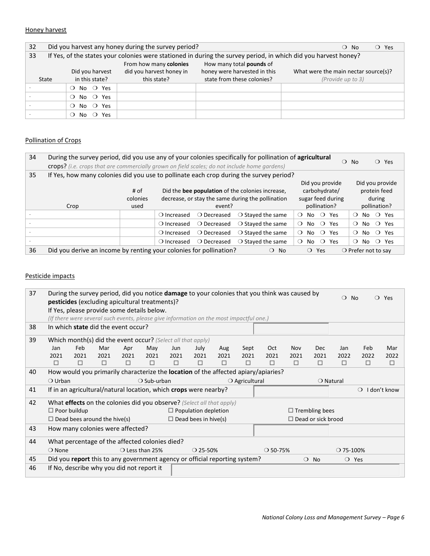#### Honey harvest

| 32    |                                                                                                                 | Did you harvest any honey during the survey period? |                              | $\overline{O}$ Yes<br>$\bigcirc$ No  |  |  |  |  |  |  |  |  |  |  |
|-------|-----------------------------------------------------------------------------------------------------------------|-----------------------------------------------------|------------------------------|--------------------------------------|--|--|--|--|--|--|--|--|--|--|
| 33    | If Yes, of the states your colonies were stationed in during the survey period, in which did you harvest honey? |                                                     |                              |                                      |  |  |  |  |  |  |  |  |  |  |
|       | From how many colonies<br>How many total pounds of                                                              |                                                     |                              |                                      |  |  |  |  |  |  |  |  |  |  |
|       | Did you harvest                                                                                                 | did you harvest honey in                            | honey were harvested in this | What were the main nectar source(s)? |  |  |  |  |  |  |  |  |  |  |
| State | in this state?                                                                                                  | this state?                                         | state from these colonies?   | (Provide up to 3)                    |  |  |  |  |  |  |  |  |  |  |
|       | No $\bigcirc$ Yes<br>$\Omega$                                                                                   |                                                     |                              |                                      |  |  |  |  |  |  |  |  |  |  |
|       | No $\bigcirc$ Yes<br>$\Omega$                                                                                   |                                                     |                              |                                      |  |  |  |  |  |  |  |  |  |  |
|       | No $\bigcirc$ Yes<br>$\Omega$                                                                                   |                                                     |                              |                                      |  |  |  |  |  |  |  |  |  |  |
|       | No $\circ$<br>Yes<br>$\Omega$                                                                                   |                                                     |                              |                                      |  |  |  |  |  |  |  |  |  |  |

## Pollination of Crops

| 34 | During the survey period, did you use any of your colonies specifically for pollination of agricultural<br>crops? (i.e. crops that are commercially grown on field scales; do not include home gardens)                         |      |                      |                      |                            |          |                   |         |                | <b>No</b><br>$\Omega$        |               |  | $\bigcirc$ Yes    |  |
|----|---------------------------------------------------------------------------------------------------------------------------------------------------------------------------------------------------------------------------------|------|----------------------|----------------------|----------------------------|----------|-------------------|---------|----------------|------------------------------|---------------|--|-------------------|--|
| 35 | If Yes, how many colonies did you use to pollinate each crop during the survey period?                                                                                                                                          |      |                      |                      |                            |          |                   |         |                |                              |               |  |                   |  |
|    | Did you provide<br>Did you provide<br>Did the bee population of the colonies increase,<br>protein feed<br># of<br>carbohydrate/<br>sugar feed during<br>colonies<br>decrease, or stay the same during the pollination<br>during |      |                      |                      |                            |          |                   |         |                |                              |               |  |                   |  |
|    | Crop                                                                                                                                                                                                                            | used |                      | event?               |                            |          | pollination?      |         |                |                              | pollination?  |  |                   |  |
|    |                                                                                                                                                                                                                                 |      | ○ Increased          | O Decreased          | $\bigcirc$ Stayed the same | $\Omega$ | No $\bigcirc$ Yes |         |                | $\Omega$                     |               |  | No $\bigcirc$ Yes |  |
|    |                                                                                                                                                                                                                                 |      | $\bigcirc$ Increased | ○ Decreased          | $\bigcirc$ Stayed the same | $\Omega$ | No $\bigcirc$ Yes |         |                |                              | $\bigcirc$ No |  | ○ Yes             |  |
|    |                                                                                                                                                                                                                                 |      | ○ Increased          | ○ Decreased          | $\bigcirc$ Stayed the same | $\Omega$ | No.               |         | $\bigcirc$ Yes | $\Omega$                     | No.           |  | ○ Yes             |  |
|    |                                                                                                                                                                                                                                 |      | $\bigcirc$ Increased | $\bigcirc$ Decreased | $\bigcirc$ Staved the same | $\Omega$ | No.               | $\circ$ | Yes            | $\Omega$                     | No.           |  | ○ Yes             |  |
| 36 | Did you derive an income by renting your colonies for pollination?                                                                                                                                                              |      |                      |                      | $\bigcirc$ No              |          | $\Omega$          | Yes     |                | $\bigcirc$ Prefer not to say |               |  |                   |  |

#### Pesticide impacts

| 37 |                                                                                | During the survey period, did you notice <b>damage</b> to your colonies that you think was caused by<br><b>pesticides</b> (excluding apicultural treatments)? |                                     | $\Omega$<br><b>No</b> |                                                                            | $\bigcirc$ Yes |                             |      |      |                                                                                           |        |                           |                    |          |              |  |
|----|--------------------------------------------------------------------------------|---------------------------------------------------------------------------------------------------------------------------------------------------------------|-------------------------------------|-----------------------|----------------------------------------------------------------------------|----------------|-----------------------------|------|------|-------------------------------------------------------------------------------------------|--------|---------------------------|--------------------|----------|--------------|--|
|    |                                                                                |                                                                                                                                                               |                                     |                       | If Yes, please provide some details below.                                 |                |                             |      |      |                                                                                           |        |                           |                    |          |              |  |
|    |                                                                                | (If there were several such events, please give information on the most impactful one.)<br>In which state did the event occur?                                |                                     |                       |                                                                            |                |                             |      |      |                                                                                           |        |                           |                    |          |              |  |
| 38 |                                                                                |                                                                                                                                                               |                                     |                       |                                                                            |                |                             |      |      |                                                                                           |        |                           |                    |          |              |  |
| 39 |                                                                                |                                                                                                                                                               |                                     |                       | Which month(s) did the event occur? (Select all that apply)                |                |                             |      |      |                                                                                           |        |                           |                    |          |              |  |
|    | Jan                                                                            | Feb                                                                                                                                                           | Mar                                 | Apr                   | May                                                                        | Sept<br>Oct    | <b>Nov</b>                  | Dec  | Jan  | Feb                                                                                       | Mar    |                           |                    |          |              |  |
|    | 2021                                                                           | 2021                                                                                                                                                          | 2021                                | 2021                  | 2021                                                                       | 2021           | 2021                        | 2021 | 2021 | 2021                                                                                      | 2021   | 2021                      | 2022               | 2022     | 2022         |  |
|    | П                                                                              | $\Box$                                                                                                                                                        | $\Box$                              | $\Box$                | □                                                                          | □              | □                           | □    | □    | П                                                                                         | $\Box$ | □                         | П                  | □        | □            |  |
| 40 |                                                                                |                                                                                                                                                               |                                     |                       |                                                                            |                |                             |      |      | How would you primarily characterize the <b>location</b> of the affected apiary/apiaries? |        |                           |                    |          |              |  |
|    | $\bigcirc$ Urban                                                               |                                                                                                                                                               |                                     |                       | $\bigcirc$ Sub-urban                                                       |                |                             |      |      | $\bigcirc$ Agricultural<br>$\bigcirc$ Natural                                             |        |                           |                    |          |              |  |
| 41 |                                                                                |                                                                                                                                                               |                                     |                       | If in an agricultural/natural location, which crops were nearby?           |                |                             |      |      |                                                                                           |        |                           |                    | $\Omega$ | I don't know |  |
| 42 |                                                                                |                                                                                                                                                               |                                     |                       | What effects on the colonies did you observe? (Select all that apply)      |                |                             |      |      |                                                                                           |        |                           |                    |          |              |  |
|    |                                                                                | $\Box$ Poor buildup                                                                                                                                           |                                     |                       |                                                                            |                | $\Box$ Population depletion |      |      |                                                                                           |        | $\Box$ Trembling bees     |                    |          |              |  |
|    |                                                                                |                                                                                                                                                               | $\Box$ Dead bees around the hive(s) |                       |                                                                            |                | $\Box$ Dead bees in hive(s) |      |      |                                                                                           |        | $\Box$ Dead or sick brood |                    |          |              |  |
| 43 |                                                                                |                                                                                                                                                               | How many colonies were affected?    |                       |                                                                            |                |                             |      |      |                                                                                           |        |                           |                    |          |              |  |
| 44 |                                                                                |                                                                                                                                                               |                                     |                       | What percentage of the affected colonies died?                             |                |                             |      |      |                                                                                           |        |                           |                    |          |              |  |
|    | $\bigcirc$ None<br>$\bigcirc$ Less than 25%<br>$O$ 50-75%<br>$\bigcirc$ 25-50% |                                                                                                                                                               |                                     |                       |                                                                            |                |                             |      |      |                                                                                           |        |                           | $\bigcirc$ 75-100% |          |              |  |
| 45 |                                                                                |                                                                                                                                                               |                                     |                       | Did you report this to any government agency or official reporting system? |                |                             |      |      |                                                                                           |        | $\bigcirc$ No             | $\bigcirc$ Yes     |          |              |  |
| 46 |                                                                                |                                                                                                                                                               |                                     |                       | If No, describe why you did not report it                                  |                |                             |      |      |                                                                                           |        |                           |                    |          |              |  |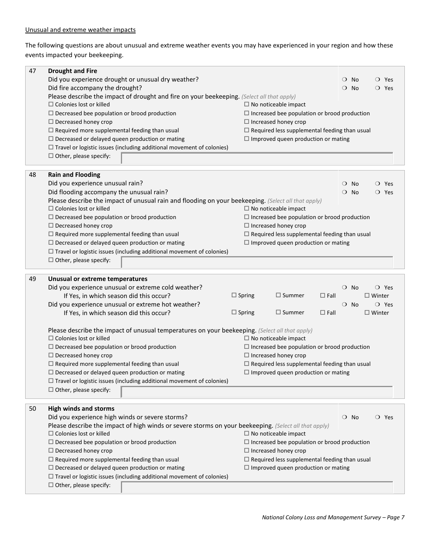The following questions are about unusual and extreme weather events you may have experienced in your region and how these events impacted your beekeeping.

| 47 | <b>Drought and Fire</b>                                                                               |                                                                |  |  |  |
|----|-------------------------------------------------------------------------------------------------------|----------------------------------------------------------------|--|--|--|
|    | Did you experience drought or unusual dry weather?                                                    | $\circ$<br>No<br>O Yes                                         |  |  |  |
|    | Did fire accompany the drought?                                                                       | $\circ$ No<br>$\bigcirc$ Yes                                   |  |  |  |
|    | Please describe the impact of drought and fire on your beekeeping. (Select all that apply)            |                                                                |  |  |  |
|    | $\Box$ Colonies lost or killed                                                                        | $\Box$ No noticeable impact                                    |  |  |  |
|    | $\Box$ Decreased bee population or brood production                                                   | $\Box$ Increased bee population or brood production            |  |  |  |
|    | $\Box$ Decreased honey crop                                                                           | $\Box$ Increased honey crop                                    |  |  |  |
|    | $\Box$ Required more supplemental feeding than usual                                                  | $\Box$ Required less supplemental feeding than usual           |  |  |  |
|    | $\Box$ Decreased or delayed queen production or mating                                                | $\Box$ Improved queen production or mating                     |  |  |  |
|    | $\Box$ Travel or logistic issues (including additional movement of colonies)                          |                                                                |  |  |  |
|    | $\Box$ Other, please specify:                                                                         |                                                                |  |  |  |
|    |                                                                                                       |                                                                |  |  |  |
|    |                                                                                                       |                                                                |  |  |  |
| 48 | <b>Rain and Flooding</b>                                                                              |                                                                |  |  |  |
|    | Did you experience unusual rain?                                                                      | $\bigcirc$ Yes<br>No.<br>$\circ$                               |  |  |  |
|    | Did flooding accompany the unusual rain?                                                              | <b>No</b><br>$\bigcirc$ Yes<br>$\circ$                         |  |  |  |
|    | Please describe the impact of unusual rain and flooding on your beekeeping. (Select all that apply)   |                                                                |  |  |  |
|    | $\Box$ Colonies lost or killed                                                                        | $\Box$ No noticeable impact                                    |  |  |  |
|    | $\Box$ Decreased bee population or brood production                                                   | $\Box$ Increased bee population or brood production            |  |  |  |
|    | $\Box$ Decreased honey crop                                                                           | $\Box$ Increased honey crop                                    |  |  |  |
|    | $\Box$ Required more supplemental feeding than usual                                                  | $\Box$ Required less supplemental feeding than usual           |  |  |  |
|    | $\Box$ Decreased or delayed queen production or mating                                                | $\Box$ Improved queen production or mating                     |  |  |  |
|    | $\Box$ Travel or logistic issues (including additional movement of colonies)                          |                                                                |  |  |  |
|    |                                                                                                       |                                                                |  |  |  |
|    | $\Box$ Other, please specify:                                                                         |                                                                |  |  |  |
|    |                                                                                                       |                                                                |  |  |  |
| 49 | Unusual or extreme temperatures                                                                       |                                                                |  |  |  |
|    | Did you experience unusual or extreme cold weather?                                                   | $\bigcirc$ No<br>$\bigcirc$ Yes                                |  |  |  |
|    | If Yes, in which season did this occur?                                                               | $\Box$ Spring<br>$\Box$ Summer<br>$\Box$ Fall<br>$\Box$ Winter |  |  |  |
|    | Did you experience unusual or extreme hot weather?                                                    | $\bigcirc$ No<br>$\bigcirc$ Yes                                |  |  |  |
|    | If Yes, in which season did this occur?                                                               | $\Box$ Spring<br>$\Box$ Summer<br>$\Box$ Fall<br>$\Box$ Winter |  |  |  |
|    |                                                                                                       |                                                                |  |  |  |
|    | Please describe the impact of unusual temperatures on your beekeeping. (Select all that apply)        |                                                                |  |  |  |
|    | $\Box$ Colonies lost or killed                                                                        | $\Box$ No noticeable impact                                    |  |  |  |
|    | $\Box$ Decreased bee population or brood production                                                   | $\Box$ Increased bee population or brood production            |  |  |  |
|    | $\Box$ Decreased honey crop                                                                           | $\Box$ Increased honey crop                                    |  |  |  |
|    | $\Box$ Required more supplemental feeding than usual                                                  | $\Box$ Required less supplemental feeding than usual           |  |  |  |
|    | $\Box$ Decreased or delayed queen production or mating                                                | $\Box$ Improved queen production or mating                     |  |  |  |
|    |                                                                                                       |                                                                |  |  |  |
|    | $\Box$ Travel or logistic issues (including additional movement of colonies)                          |                                                                |  |  |  |
|    | $\Box$ Other, please specify:                                                                         |                                                                |  |  |  |
|    |                                                                                                       |                                                                |  |  |  |
| 50 | <b>High winds and storms</b>                                                                          |                                                                |  |  |  |
|    | Did you experience high winds or severe storms?                                                       | $\circ$ No<br>$\bigcirc$ Yes                                   |  |  |  |
|    | Please describe the impact of high winds or severe storms on your beekeeping. (Select all that apply) |                                                                |  |  |  |
|    | $\Box$ Colonies lost or killed                                                                        | $\Box$ No noticeable impact                                    |  |  |  |
|    | $\Box$ Decreased bee population or brood production                                                   | $\Box$ Increased bee population or brood production            |  |  |  |
|    | $\Box$ Decreased honey crop                                                                           | $\Box$ Increased honey crop                                    |  |  |  |
|    | $\Box$ Required more supplemental feeding than usual                                                  | $\Box$ Required less supplemental feeding than usual           |  |  |  |
|    | $\Box$ Decreased or delayed queen production or mating                                                | $\Box$ Improved queen production or mating                     |  |  |  |
|    | $\Box$ Travel or logistic issues (including additional movement of colonies)                          |                                                                |  |  |  |
|    |                                                                                                       |                                                                |  |  |  |
|    | $\Box$ Other, please specify:                                                                         |                                                                |  |  |  |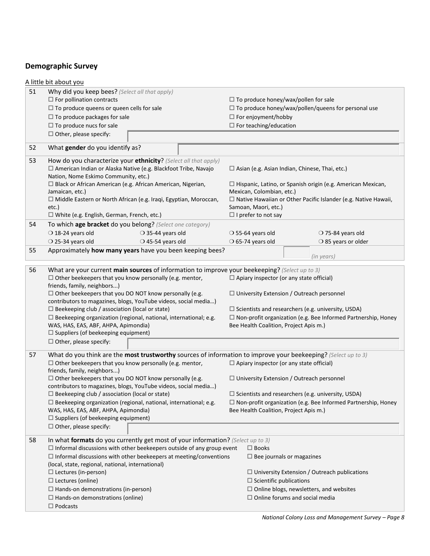## **Demographic Survey**

|    | A little bit about you                                                                                                                                                                                                                                                                                                                                                                                                                                                                                                                                                                                         |                                                                                                                                                                                                                                                                                    |  |  |
|----|----------------------------------------------------------------------------------------------------------------------------------------------------------------------------------------------------------------------------------------------------------------------------------------------------------------------------------------------------------------------------------------------------------------------------------------------------------------------------------------------------------------------------------------------------------------------------------------------------------------|------------------------------------------------------------------------------------------------------------------------------------------------------------------------------------------------------------------------------------------------------------------------------------|--|--|
| 51 | Why did you keep bees? (Select all that apply)<br>$\Box$ For pollination contracts<br>$\Box$ To produce queens or queen cells for sale<br>$\Box$ To produce packages for sale<br>$\Box$ To produce nucs for sale<br>$\Box$ Other, please specify:                                                                                                                                                                                                                                                                                                                                                              | $\Box$ To produce honey/wax/pollen for sale<br>$\Box$ To produce honey/wax/pollen/queens for personal use<br>$\Box$ For enjoyment/hobby<br>$\Box$ For teaching/education                                                                                                           |  |  |
| 52 | What gender do you identify as?                                                                                                                                                                                                                                                                                                                                                                                                                                                                                                                                                                                |                                                                                                                                                                                                                                                                                    |  |  |
| 53 | How do you characterize your ethnicity? (Select all that apply)<br>□ American Indian or Alaska Native (e.g. Blackfoot Tribe, Navajo<br>Nation, Nome Eskimo Community, etc.)<br>□ Black or African American (e.g. African American, Nigerian,<br>Jamaican, etc.)<br>$\Box$ Middle Eastern or North African (e.g. Iraqi, Egyptian, Moroccan,                                                                                                                                                                                                                                                                     | $\Box$ Asian (e.g. Asian Indian, Chinese, Thai, etc.)<br>$\Box$ Hispanic, Latino, or Spanish origin (e.g. American Mexican,<br>Mexican, Colombian, etc.)<br>$\Box$ Native Hawaiian or Other Pacific Islander (e.g. Native Hawaii,                                                  |  |  |
|    | etc.)                                                                                                                                                                                                                                                                                                                                                                                                                                                                                                                                                                                                          | Samoan, Maori, etc.)                                                                                                                                                                                                                                                               |  |  |
|    | $\Box$ White (e.g. English, German, French, etc.)                                                                                                                                                                                                                                                                                                                                                                                                                                                                                                                                                              | $\Box$ I prefer to not say                                                                                                                                                                                                                                                         |  |  |
| 54 | To which age bracket do you belong? (Select one category)                                                                                                                                                                                                                                                                                                                                                                                                                                                                                                                                                      |                                                                                                                                                                                                                                                                                    |  |  |
|    | $\bigcirc$ 18-24 years old<br>$\bigcirc$ 35-44 years old                                                                                                                                                                                                                                                                                                                                                                                                                                                                                                                                                       | $\bigcirc$ 55-64 years old<br>O 75-84 years old                                                                                                                                                                                                                                    |  |  |
|    | $\bigcirc$ 25-34 years old<br>$\bigcirc$ 45-54 years old                                                                                                                                                                                                                                                                                                                                                                                                                                                                                                                                                       | $\bigcirc$ 65-74 years old<br>○ 85 years or older                                                                                                                                                                                                                                  |  |  |
| 55 | Approximately how many years have you been keeping bees?                                                                                                                                                                                                                                                                                                                                                                                                                                                                                                                                                       | (in years)                                                                                                                                                                                                                                                                         |  |  |
| 56 | What are your current main sources of information to improve your beekeeping? (Select up to 3)<br>$\Box$ Other beekeepers that you know personally (e.g. mentor,<br>friends, family, neighbors)<br>$\Box$ Other beekeepers that you DO NOT know personally (e.g.<br>contributors to magazines, blogs, YouTube videos, social media)<br>$\Box$ Beekeeping club / association (local or state)<br>$\Box$ Beekeeping organization (regional, national, international; e.g.<br>WAS, HAS, EAS, ABF, AHPA, Apimondia)<br>$\Box$ Suppliers (of beekeeping equipment)<br>$\Box$ Other, please specify:                 | $\Box$ Apiary inspector (or any state official)<br>$\Box$ University Extension / Outreach personnel<br>$\Box$ Scientists and researchers (e.g. university, USDA)<br>$\Box$ Non-profit organization (e.g. Bee Informed Partnership, Honey<br>Bee Health Coalition, Project Apis m.) |  |  |
| 57 | What do you think are the most trustworthy sources of information to improve your beekeeping? (Select up to 3)<br>$\Box$ Other beekeepers that you know personally (e.g. mentor,<br>friends, family, neighbors)<br>$\Box$ Other beekeepers that you DO NOT know personally (e.g.<br>contributors to magazines, blogs, YouTube videos, social media)<br>$\Box$ Beekeeping club / association (local or state)<br>$\Box$ Beekeeping organization (regional, national, international; e.g.<br>WAS, HAS, EAS, ABF, AHPA, Apimondia)<br>$\Box$ Suppliers (of beekeeping equipment)<br>$\Box$ Other, please specify: | $\Box$ Apiary inspector (or any state official)<br>$\Box$ University Extension / Outreach personnel<br>$\Box$ Scientists and researchers (e.g. university, USDA)<br>$\Box$ Non-profit organization (e.g. Bee Informed Partnership, Honey<br>Bee Health Coalition, Project Apis m.) |  |  |
| 58 | In what formats do you currently get most of your information? (Select up to 3)<br>$\Box$ Informal discussions with other beekeepers outside of any group event<br>$\Box$ Informal discussions with other beekeepers at meeting/conventions<br>(local, state, regional, national, international)<br>$\Box$ Lectures (in-person)<br>$\Box$ Lectures (online)<br>$\Box$ Hands-on demonstrations (in-person)<br>$\Box$ Hands-on demonstrations (online)<br>$\Box$ Podcasts                                                                                                                                        | $\Box$ Books<br>$\Box$ Bee journals or magazines<br>$\Box$ University Extension / Outreach publications<br>$\Box$ Scientific publications<br>$\Box$ Online blogs, newsletters, and websites<br>$\Box$ Online forums and social media                                               |  |  |